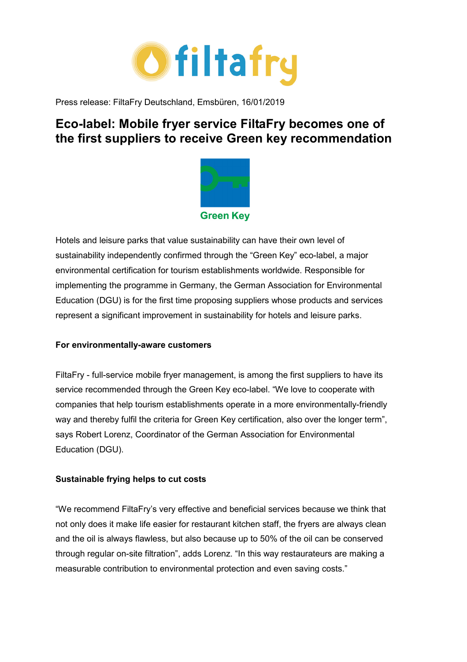

Press release: FiltaFry Deutschland, Emsbüren, 16/01/2019

# **Eco-label: Mobile fryer service FiltaFry becomes one of the first suppliers to receive Green key recommendation**



Hotels and leisure parks that value sustainability can have their own level of sustainability independently confirmed through the "Green Key" eco-label, a major environmental certification for tourism establishments worldwide. Responsible for implementing the programme in Germany, the German Association for Environmental Education (DGU) is for the first time proposing suppliers whose products and services represent a significant improvement in sustainability for hotels and leisure parks.

# **For environmentally-aware customers**

FiltaFry - full-service mobile fryer management, is among the first suppliers to have its service recommended through the Green Key eco-label. "We love to cooperate with companies that help tourism establishments operate in a more environmentally-friendly way and thereby fulfil the criteria for Green Key certification, also over the longer term", says Robert Lorenz, Coordinator of the German Association for Environmental Education (DGU).

# **Sustainable frying helps to cut costs**

"We recommend FiltaFry's very effective and beneficial services because we think that not only does it make life easier for restaurant kitchen staff, the fryers are always clean and the oil is always flawless, but also because up to 50% of the oil can be conserved through regular on-site filtration", adds Lorenz. "In this way restaurateurs are making a measurable contribution to environmental protection and even saving costs."